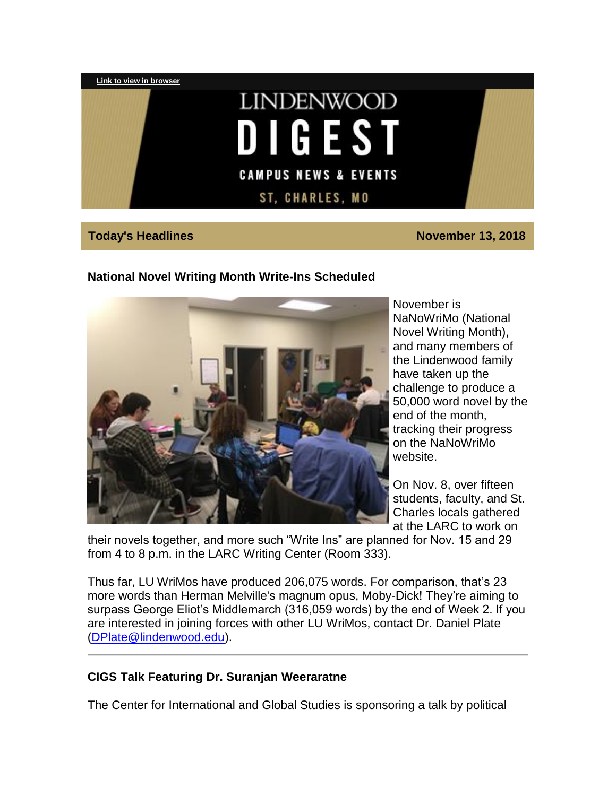

**Today's Headlines November 13, 2018** 

## **National Novel Writing Month Write-Ins Scheduled**



November is NaNoWriMo (National Novel Writing Month), and many members of the Lindenwood family have taken up the challenge to produce a 50,000 word novel by the end of the month, tracking their progress on the NaNoWriMo website.

On Nov. 8, over fifteen students, faculty, and St. Charles locals gathered at the LARC to work on

their novels together, and more such "Write Ins" are planned for Nov. 15 and 29 from 4 to 8 p.m. in the LARC Writing Center (Room 333).

Thus far, LU WriMos have produced 206,075 words. For comparison, that's 23 more words than Herman Melville's magnum opus, Moby-Dick! They're aiming to surpass George Eliot's Middlemarch (316,059 words) by the end of Week 2. If you are interested in joining forces with other LU WriMos, contact Dr. Daniel Plate [\(DPlate@lindenwood.edu\)](mailto:DPlate@lindenwood.edu).

#### **CIGS Talk Featuring Dr. Suranjan Weeraratne**

The Center for International and Global Studies is sponsoring a talk by political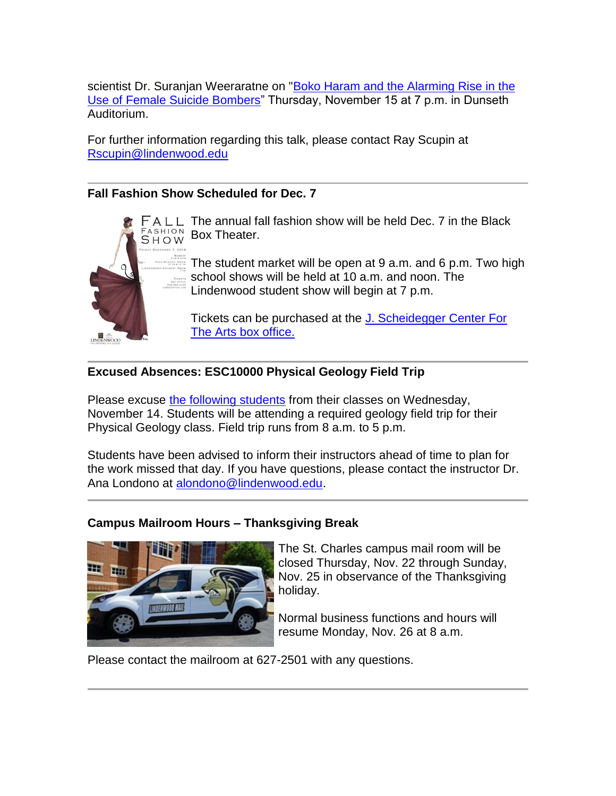scientist Dr. Suranjan Weeraratne on ["Boko Haram and the Alarming Rise in the](https://hes32-ctp.trendmicro.com/wis/clicktime/v1/query?url=https%3a%2f%2fcustapp.marketvolt.com%2flink%2fqTfWhxxBLV%3fCM%3d1237613519%26X%3d18314661&umid=a91edc44-ba34-4813-a330-3d475c767b93&auth=bc7ac43e330fa629f0cfb11786c85e83c10d06b8-2d9bf5caf31996b5192d745f6d0f29f71da3b44c)  [Use of Female Suicide Bombers"](https://hes32-ctp.trendmicro.com/wis/clicktime/v1/query?url=https%3a%2f%2fcustapp.marketvolt.com%2flink%2fqTfWhxxBLV%3fCM%3d1237613519%26X%3d18314661&umid=a91edc44-ba34-4813-a330-3d475c767b93&auth=bc7ac43e330fa629f0cfb11786c85e83c10d06b8-2d9bf5caf31996b5192d745f6d0f29f71da3b44c) Thursday, November 15 at 7 p.m. in Dunseth Auditorium.

For further information regarding this talk, please contact Ray Scupin at [Rscupin@lindenwood.edu](mailto:Rscupin@lindenwood.edu)

# **Fall Fashion Show Scheduled for Dec. 7**



 $FALL$  The annual fall fashion show will be held Dec. 7 in the Black FASHION Box Theater.

> The student market will be open at 9 a.m. and 6 p.m. Two high school shows will be held at 10 a.m. and noon. The Lindenwood student show will begin at 7 p.m.

Tickets can be purchased at the J. Scheidegger Center For [The Arts box office.](https://hes32-ctp.trendmicro.com/wis/clicktime/v1/query?url=https%3a%2f%2fcustapp.marketvolt.com%2flink%2fh2WmMZl2Pv%3fCM%3d1237613519%26X%3d18314661&umid=a91edc44-ba34-4813-a330-3d475c767b93&auth=bc7ac43e330fa629f0cfb11786c85e83c10d06b8-abbbebed3cdd10b24c2820422474b59d0243e379)

# **Excused Absences: ESC10000 Physical Geology Field Trip**

Please excuse [the following students](https://hes32-ctp.trendmicro.com/wis/clicktime/v1/query?url=https%3a%2f%2fcustapp.marketvolt.com%2flink%2f34VadYDa77%3fCM%3d1237613519%26X%3d18314661&umid=a91edc44-ba34-4813-a330-3d475c767b93&auth=bc7ac43e330fa629f0cfb11786c85e83c10d06b8-2fff3db00e04670bccd796260bf072c3c0707e6e) from their classes on Wednesday, November 14. Students will be attending a required geology field trip for their Physical Geology class. Field trip runs from 8 a.m. to 5 p.m.

Students have been advised to inform their instructors ahead of time to plan for the work missed that day. If you have questions, please contact the instructor Dr. Ana Londono at [alondono@lindenwood.edu.](mailto:alondono@lindenwood.edu)

#### **Campus Mailroom Hours – Thanksgiving Break**



The St. Charles campus mail room will be closed Thursday, Nov. 22 through Sunday, Nov. 25 in observance of the Thanksgiving holiday.

Normal business functions and hours will resume Monday, Nov. 26 at 8 a.m.

Please contact the mailroom at 627-2501 with any questions.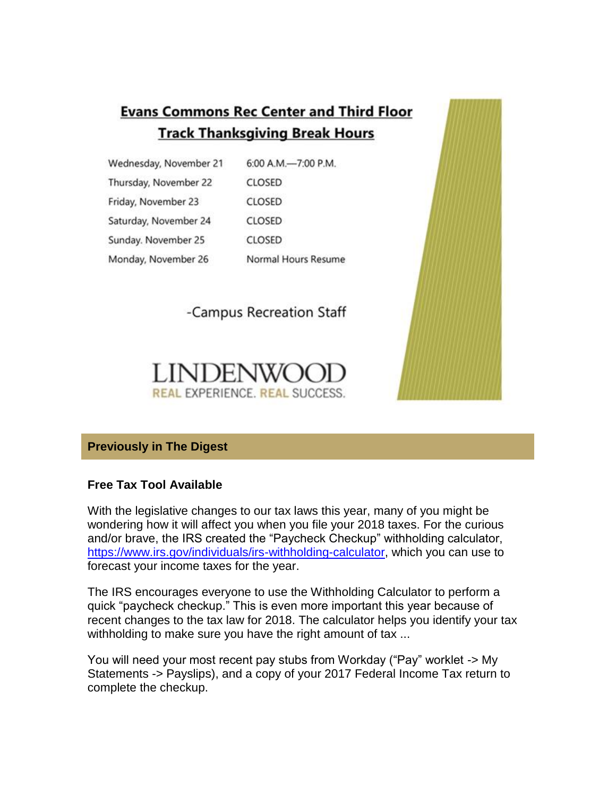# **Evans Commons Rec Center and Third Floor Track Thanksgiving Break Hours**

Wednesday, November 21 6:00 A.M.-7:00 P.M. Thursday, November 22 **CLOSED** Friday, November 23 **CLOSED** Saturday, November 24 **CLOSED** Sunday. November 25 **CLOSED** Monday, November 26 Normal Hours Resume

-Campus Recreation Staff





# **Previously in The Digest**

#### **Free Tax Tool Available**

With the legislative changes to our tax laws this year, many of you might be wondering how it will affect you when you file your 2018 taxes. For the curious and/or brave, the IRS created the "Paycheck Checkup" withholding calculator, [https://www.irs.gov/individuals/irs-withholding-calculator,](https://hes32-ctp.trendmicro.com/wis/clicktime/v1/query?url=https%3a%2f%2fcustapp.marketvolt.com%2flink%2frFacnw5MZV%3fCM%3d1237613519%26X%3d18314661&umid=a91edc44-ba34-4813-a330-3d475c767b93&auth=bc7ac43e330fa629f0cfb11786c85e83c10d06b8-7ecd97a61f8cf4b19fc3191c71fc1dd967417293) which you can use to forecast your income taxes for the year.

The IRS encourages everyone to use the Withholding Calculator to perform a quick "paycheck checkup." This is even more important this year because of recent changes to the tax law for 2018. The calculator helps you identify your tax withholding to make sure you have the right amount of tax ...

You will need your most recent pay stubs from Workday ("Pay" worklet -> My Statements -> Payslips), and a copy of your 2017 Federal Income Tax return to complete the checkup.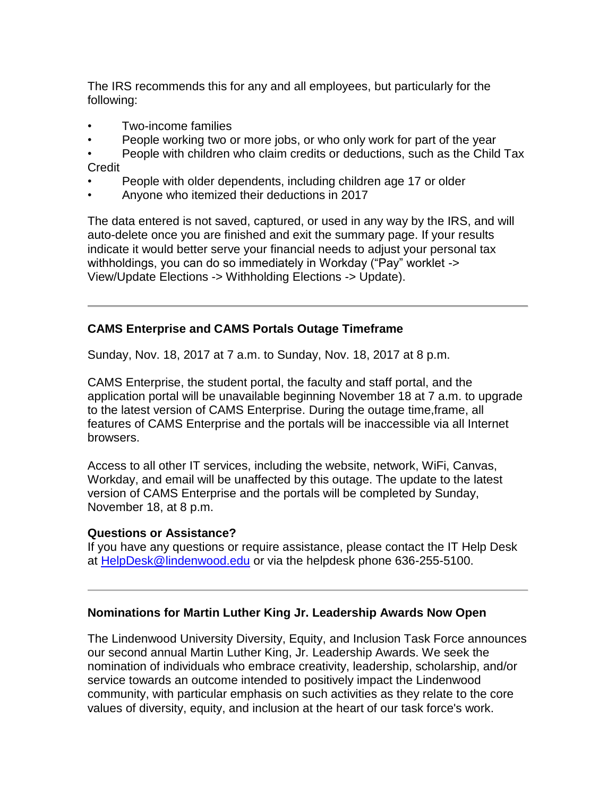The IRS recommends this for any and all employees, but particularly for the following:

- Two-income families
- People working two or more jobs, or who only work for part of the year

• People with children who claim credits or deductions, such as the Child Tax Credit

- People with older dependents, including children age 17 or older
- Anyone who itemized their deductions in 2017

The data entered is not saved, captured, or used in any way by the IRS, and will auto-delete once you are finished and exit the summary page. If your results indicate it would better serve your financial needs to adjust your personal tax withholdings, you can do so immediately in Workday ("Pay" worklet -> View/Update Elections -> Withholding Elections -> Update).

#### **CAMS Enterprise and CAMS Portals Outage Timeframe**

Sunday, Nov. 18, 2017 at 7 a.m. to Sunday, Nov. 18, 2017 at 8 p.m.

CAMS Enterprise, the student portal, the faculty and staff portal, and the application portal will be unavailable beginning November 18 at 7 a.m. to upgrade to the latest version of CAMS Enterprise. During the outage time,frame, all features of CAMS Enterprise and the portals will be inaccessible via all Internet browsers.

Access to all other IT services, including the website, network, WiFi, Canvas, Workday, and email will be unaffected by this outage. The update to the latest version of CAMS Enterprise and the portals will be completed by Sunday, November 18, at 8 p.m.

#### **Questions or Assistance?**

If you have any questions or require assistance, please contact the IT Help Desk at [HelpDesk@lindenwood.edu](mailto:HelpDesk@lindenwood.edu) or via the helpdesk phone 636-255-5100.

#### **Nominations for Martin Luther King Jr. Leadership Awards Now Open**

The Lindenwood University Diversity, Equity, and Inclusion Task Force announces our second annual Martin Luther King, Jr. Leadership Awards. We seek the nomination of individuals who embrace creativity, leadership, scholarship, and/or service towards an outcome intended to positively impact the Lindenwood community, with particular emphasis on such activities as they relate to the core values of diversity, equity, and inclusion at the heart of our task force's work.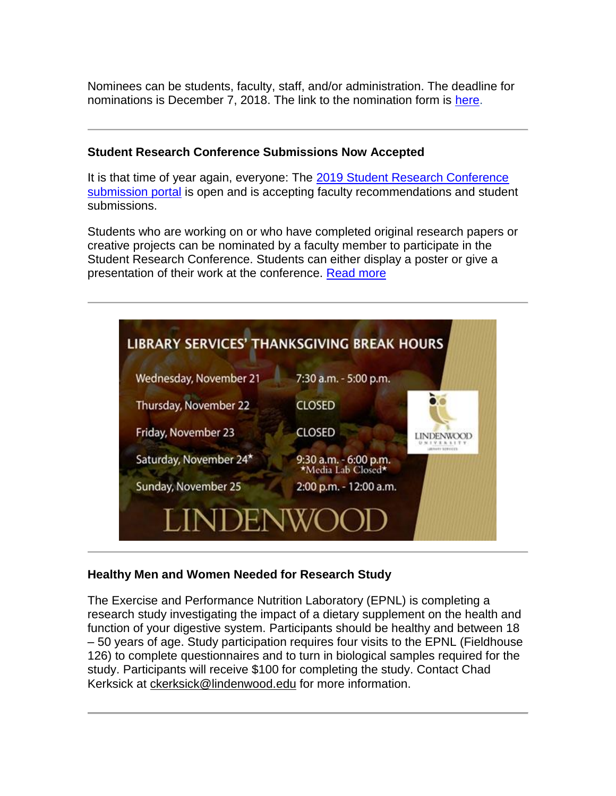Nominees can be students, faculty, staff, and/or administration. The deadline for nominations is December 7, 2018. The link to the nomination form is [here.](https://hes32-ctp.trendmicro.com/wis/clicktime/v1/query?url=https%3a%2f%2fcustapp.marketvolt.com%2flink%2fbrKilXmRt3%3fCM%3d1237613519%26X%3d18314661&umid=a91edc44-ba34-4813-a330-3d475c767b93&auth=bc7ac43e330fa629f0cfb11786c85e83c10d06b8-53c6ca5df016c50f115af71d607ef6e0558a8636)

# **Student Research Conference Submissions Now Accepted**

It is that time of year again, everyone: The [2019 Student Research Conference](https://hes32-ctp.trendmicro.com/wis/clicktime/v1/query?url=https%3a%2f%2fcustapp.marketvolt.com%2flink%2fS5FbblSKyL%3fCM%3d1237613519%26X%3d18314661&umid=a91edc44-ba34-4813-a330-3d475c767b93&auth=bc7ac43e330fa629f0cfb11786c85e83c10d06b8-bb763f72f7a3758cf0a05fb4024485d6a233908a)  [submission portal](https://hes32-ctp.trendmicro.com/wis/clicktime/v1/query?url=https%3a%2f%2fcustapp.marketvolt.com%2flink%2fS5FbblSKyL%3fCM%3d1237613519%26X%3d18314661&umid=a91edc44-ba34-4813-a330-3d475c767b93&auth=bc7ac43e330fa629f0cfb11786c85e83c10d06b8-bb763f72f7a3758cf0a05fb4024485d6a233908a) is open and is accepting faculty recommendations and student submissions.

Students who are working on or who have completed original research papers or creative projects can be nominated by a faculty member to participate in the Student Research Conference. Students can either display a poster or give a presentation of their work at the conference. [Read more](https://hes32-ctp.trendmicro.com/wis/clicktime/v1/query?url=https%3a%2f%2fcustapp.marketvolt.com%2flink%2fAuNfryQxDp%3fCM%3d1237613519%26X%3d18314661&umid=a91edc44-ba34-4813-a330-3d475c767b93&auth=bc7ac43e330fa629f0cfb11786c85e83c10d06b8-7bde39e975db7632d74f13a77788481806e2a011)



#### **Healthy Men and Women Needed for Research Study**

The Exercise and Performance Nutrition Laboratory (EPNL) is completing a research study investigating the impact of a dietary supplement on the health and function of your digestive system. Participants should be healthy and between 18 – 50 years of age. Study participation requires four visits to the EPNL (Fieldhouse 126) to complete questionnaires and to turn in biological samples required for the study. Participants will receive \$100 for completing the study. Contact Chad Kerksick at [ckerksick@lindenwood.edu](mailto:ckerksick@lindenwood.edu) for more information.